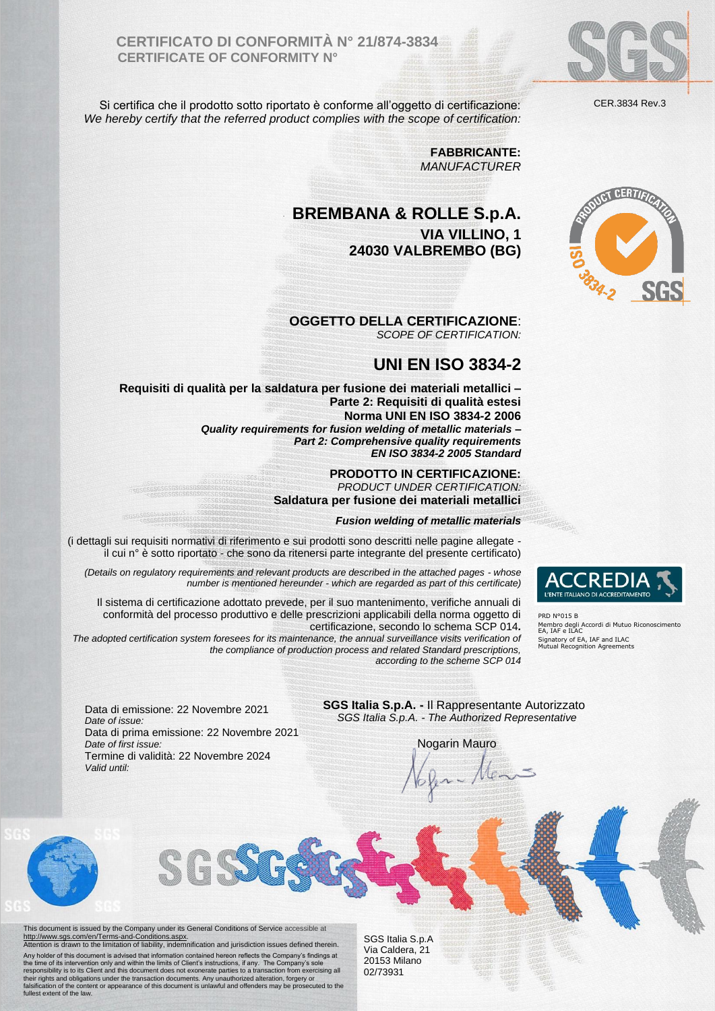**CERTIFICATO DI CONFORMITÀ N° 21/874-3834 CERTIFICATE OF CONFORMITY N°**

Si certifica che il prodotto sotto riportato è conforme all'oggetto di certificazione: *We hereby certify that the referred product complies with the scope of certification:*

> **FABBRICANTE:** *MANUFACTURER*

## **BREMBANA & ROLLE S.p.A. VIA VILLINO, 1 24030 VALBREMBO (BG)**

**OGGETTO DELLA CERTIFICAZIONE**: *SCOPE OF CERTIFICATION:*

## **UNI EN ISO 3834-2**

**Requisiti di qualità per la saldatura per fusione dei materiali metallici – Parte 2: Requisiti di qualità estesi Norma UNI EN ISO 3834-2 2006** *Quality requirements for fusion welding of metallic materials – Part 2: Comprehensive quality requirements*

*EN ISO 3834-2 2005 Standard*

**PRODOTTO IN CERTIFICAZIONE:** *PRODUCT UNDER CERTIFICATION:*

**Saldatura per fusione dei materiali metallici**

## *Fusion welding of metallic materials*

(i dettagli sui requisiti normativi di riferimento e sui prodotti sono descritti nelle pagine allegate il cui n° è sotto riportato - che sono da ritenersi parte integrante del presente certificato)

*(Details on regulatory requirements and relevant products are described in the attached pages - whose number is mentioned hereunder - which are regarded as part of this certificate)*

Il sistema di certificazione adottato prevede, per il suo mantenimento, verifiche annuali di conformità del processo produttivo e delle prescrizioni applicabili della norma oggetto di certificazione, secondo lo schema SCP 014*.*

*The adopted certification system foresees for its maintenance, the annual surveillance visits verification of the compliance of production process and related Standard prescriptions, according to the scheme SCP 014*

Data di emissione: 22 Novembre 2021 *Date of issue:*  Data di prima emissione: 22 Novembre 2021 *Date of first issue:*  Termine di validità: 22 Novembre 2024 *Valid until:* 

**SGS Italia S.p.A. -** Il Rappresentante Autorizzato *SGS Italia S.p.A. - The Authorized Representative*

Nogarin Mauro<br>6 fe - Alens





PRD N°015 B Membro degli Accordi di Mutuo Riconoscimento EA, IAF e ILAC Signatory of EA, IAF and ILAC Mutual Recognition Agreements

**NUCL CERTIF** 

This document is issued by the Company under its General Conditions of Service accessible at<br>[http://www.sgs.com/en/Terms-and-Conditions.aspx.](http://www.sgs.com/en/Terms-and-Conditions.aspx)<br>Attention is drawn to the limitation of liability, indemnification and jurisdict Any holder of this document is advised that information contained hereon reflects the Company's findings at the time of its intervention only and within the limits of Client's instructions, if any. The Company's sole<br>respo

SGS Italia S.p.A Via Caldera, 21 20153 Milano 02/73931